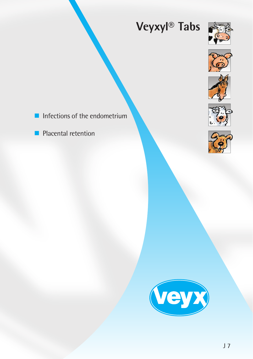# **Veyxyl® Tabs**











 $\blacksquare$  Infections of the endometrium

**Placental retention** 

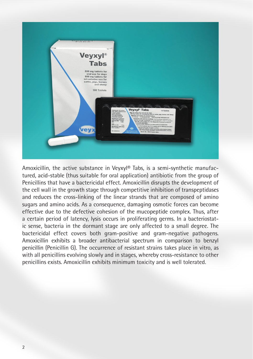

Amoxicillin, the active substance in Veyxyl® Tabs, is a semi-synthetic manufactured, acid-stable (thus suitable for oral application) antibiotic from the group of Penicillins that have a bactericidal effect. Amoxicillin disrupts the development of the cell wall in the growth stage through competitive inhibition of transpeptidases and reduces the cross-linking of the linear strands that are composed of amino sugars and amino acids. As a consequence, damaging osmotic forces can become effective due to the defective cohesion of the mucopeptide complex. Thus, after a certain period of latency, lysis occurs in proliferating germs. In a bacteriostatic sense, bacteria in the dormant stage are only affected to a small degree. The bactericidal effect covers both gram-positive and gram-negative pathogens. Amoxicillin exhibits a broader antibacterial spectrum in comparison to benzyl penicillin (Penicillin G). The occurrence of resistant strains takes place in vitro, as with all penicillins evolving slowly and in stages, whereby cross-resistance to other penicillins exists. Amoxicillin exhibits minimum toxicity and is well tolerated.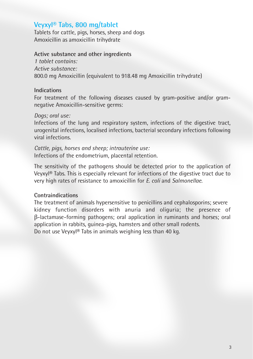## **Veyxyl® Tabs, 800 mg/tablet**

Tablets for cattle, pigs, horses, sheep and dogs Amoxicillin as amoxicillin trihydrate

#### **Active substance and other ingredients**

*1 tablet contains: Active substance:* 800.0 mg Amoxicillin (equivalent to 918.48 mg Amoxicillin trihydrate)

#### **Indications**

For treatment of the following diseases caused by gram-positive and/or gramnegative Amoxicillin-sensitive germs:

#### *Dogs; oral use:*

Infections of the lung and respiratory system, infections of the digestive tract, urogenital infections, localised infections, bacterial secondary infections following viral infections.

*Cattle, pigs, horses and sheep; intrauterine use:* Infections of the endometrium, placental retention.

The sensitivity of the pathogens should be detected prior to the application of Veyxyl® Tabs. This is especially relevant for infections of the digestive tract due to very high rates of resistance to amoxicillin for *E. coli* and *Salmonellae*.

#### **Contraindications**

The treatment of animals hypersensitive to penicillins and cephalosporins; severe kidney function disorders with anuria and oliguria; the presence of β-lactamase-forming pathogens; oral application in ruminants and horses; oral application in rabbits, guinea-pigs, hamsters and other small rodents. Do not use Veyxyl® Tabs in animals weighing less than 40 kg.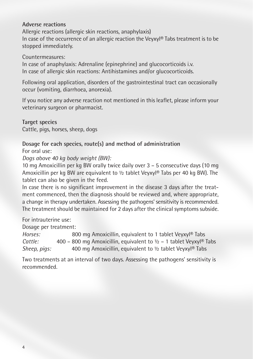#### **Adverse reactions**

Allergic reactions (allergic skin reactions, anaphylaxis) In case of the occurrence of an allergic reaction the Veyxyl® Tabs treatment is to be stopped immediately.

Countermeasures:

In case of anaphylaxis: Adrenaline (epinephrine) and glucocorticoids i.v. In case of allergic skin reactions: Antihistamines and/or glucocorticoids.

Following oral application, disorders of the gastrointestinal tract can occasionally occur (vomiting, diarrhoea, anorexia).

If you notice any adverse reaction not mentioned in this leaflet, please inform your veterinary surgeon or pharmacist.

**Target species** Cattle, pigs, horses, sheep, dogs

#### **Dosage for each species, route(s) and method of administration** For oral use:

*Dogs above 40 kg body weight (BW):*

10 mg Amoxicillin per kg BW orally twice daily over 3 – 5 consecutive days (10 mg Amoxicillin per kg BW are equivalent to ½ tablet Veyxyl® Tabs per 40 kg BW). The tablet can also be given in the feed.

In case there is no significant improvement in the disease 3 days after the treatment commenced, then the diagnosis should be reviewed and, where appropriate, a change in therapy undertaken. Assessing the pathogens' sensitivity is recommended. The treatment should be maintained for 2 days after the clinical symptoms subside.

For intrauterine use:

Dosage per treatment:

*Horses:* 800 mg Amoxicillin, equivalent to 1 tablet Veyxyl® Tabs *Cattle:* 400 – 800 mg Amoxicillin, equivalent to ½ – 1 tablet Veyxyl® Tabs *Sheep, pigs:* 400 mg Amoxicillin, equivalent to ½ tablet Veyxyl® Tabs

Two treatments at an interval of two days. Assessing the pathogens' sensitivity is recommended.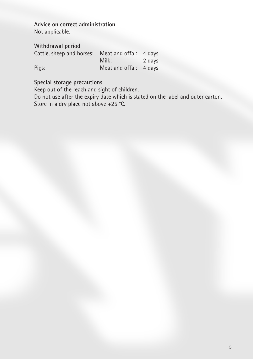**Advice on correct administration** Not applicable.

**Withdrawal period**

| Cattle, sheep and horses: Meat and offal: 4 days |                        |        |
|--------------------------------------------------|------------------------|--------|
|                                                  | Milk:                  | 2 davs |
| Pigs:                                            | Meat and offal: 4 days |        |

### **Special storage precautions**

Keep out of the reach and sight of children.

Do not use after the expiry date which is stated on the label and outer carton. Store in a dry place not above +25 °C.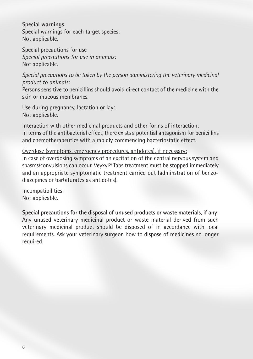**Special warnings** Special warnings for each target species: Not applicable.

Special precautions for use *Special precautions for use in animals:* Not applicable.

*Special precautions to be taken by the person administering the veterinary medicinal product to animals:*

Persons sensitive to penicillins should avoid direct contact of the medicine with the skin or mucous membranes.

Use during pregnancy, lactation or lay: Not applicable.

Interaction with other medicinal products and other forms of interaction: In terms of the antibacterial effect, there exists a potential antagonism for penicillins and chemotherapeutics with a rapidly commencing bacteriostatic effect.

Overdose (symptoms, emergency procedures, antidotes), if necessary:

In case of overdosing symptoms of an excitation of the central nervous system and spasms/convulsions can occur. Veyxyl® Tabs treatment must be stopped immediately and an appropriate symptomatic treatment carried out (adminstration of benzodiazepines or barbiturates as antidotes).

Incompatibilities: Not applicable.

**Special precautions for the disposal of unused products or waste materials, if any:** Any unused veterinary medicinal product or waste material derived from such veterinary medicinal product should be disposed of in accordance with local requirements. Ask your veterinary surgeon how to dispose of medicines no longer required.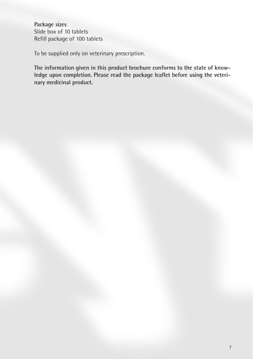**Package sizes** Slide box of 10 tablets Refill package of 100 tablets

To be supplied only on veterinary prescription.

**The information given in this product brochure conforms to the state of knowledge upon completion. Please read the package leaflet before using the veterinary medicinal product.**